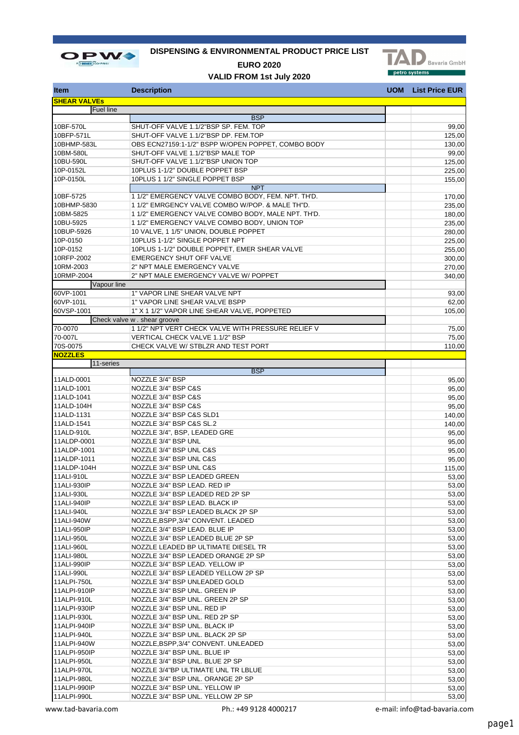

## **DISPENSING & ENVIRONMENTAL PRODUCT PRICE LIST**



**EURO 2020 VALID FROM 1st July 2020**

|  | <b>UOM</b> List Price EUR |  |
|--|---------------------------|--|
|  |                           |  |

| <b>Item</b>                 | <b>Description</b>                                 | <b>UOM</b> | <b>List Price EUR</b> |
|-----------------------------|----------------------------------------------------|------------|-----------------------|
| <b>SHEAR VALVES</b>         |                                                    |            |                       |
| Fuel line                   |                                                    |            |                       |
|                             | <b>BSP</b>                                         |            |                       |
| 10BF-570L                   | SHUT-OFF VALVE 1.1/2"BSP SP. FEM. TOP              |            | 99,00                 |
| 10BFP-571L                  | SHUT-OFF VALVE 1.1/2"BSP DP. FEM.TOP               |            | 125,00                |
| 10BHMP-583L                 | OBS ECN27159:1-1/2" BSPP W/OPEN POPPET, COMBO BODY |            | 130,00                |
| 10BM-580L                   | SHUT-OFF VALVE 1.1/2"BSP MALE TOP                  |            | 99,00                 |
| 10BU-590L                   | SHUT-OFF VALVE 1.1/2"BSP UNION TOP                 |            | 125,00                |
| 10P-0152L                   | 10PLUS 1-1/2" DOUBLE POPPET BSP                    |            | 225,00                |
| 10P-0150L                   | 10PLUS 1 1/2" SINGLE POPPET BSP                    |            | 155,00                |
|                             | <b>NPT</b>                                         |            |                       |
| 10BF-5725                   | 1 1/2" EMERGENCY VALVE COMBO BODY, FEM. NPT. TH'D. |            | 170,00                |
| 10BHMP-5830                 | 1 1/2" EMRGENCY VALVE COMBO W/POP. & MALE TH"D.    |            | 235,00                |
| 10BM-5825                   | 1 1/2" EMERGENCY VALVE COMBO BODY, MALE NPT. TH'D. |            | 180,00                |
| 10BU-5925                   | 1 1/2" EMERGENCY VALVE COMBO BODY, UNION TOP       |            | 235,00                |
| 10BUP-5926                  | 10 VALVE, 1 1/5" UNION, DOUBLE POPPET              |            | 280,00                |
| 10P-0150                    | 10PLUS 1-1/2" SINGLE POPPET NPT                    |            | 225,00                |
| 10P-0152                    | 10PLUS 1-1/2" DOUBLE POPPET, EMER SHEAR VALVE      |            | 255,00                |
| 10RFP-2002                  | <b>EMERGENCY SHUT OFF VALVE</b>                    |            | 300,00                |
| 10RM-2003                   | 2" NPT MALE EMERGENCY VALVE                        |            | 270,00                |
| 10RMP-2004                  | 2" NPT MALE EMERGENCY VALVE W/ POPPET              |            | 340,00                |
| Vapour line                 |                                                    |            |                       |
| 60VP-1001                   | 1" VAPOR LINE SHEAR VALVE NPT                      |            | 93,00                 |
| 60VP-101L                   | 1" VAPOR LINE SHEAR VALVE BSPP                     |            | 62,00                 |
| 60VSP-1001                  | 1" X 1 1/2" VAPOR LINE SHEAR VALVE, POPPETED       |            | 105,00                |
|                             | Check valve w . shear groove                       |            |                       |
| 70-0070                     | 1 1/2" NPT VERT CHECK VALVE WITH PRESSURE RELIEF V |            | 75,00                 |
| 70-007L                     | VERTICAL CHECK VALVE 1.1/2" BSP                    |            | 75,00                 |
| 70S-0075                    | CHECK VALVE W/ STBLZR AND TEST PORT                |            | 110,00                |
| <b>NOZZLES</b>              |                                                    |            |                       |
| 11-series                   |                                                    |            |                       |
|                             | <b>BSP</b>                                         |            |                       |
| 11ALD-0001                  | NOZZLE 3/4" BSP                                    |            | 95,00                 |
| 11ALD-1001                  | NOZZLE 3/4" BSP C&S                                |            | 95,00                 |
| 11ALD-1041                  | NOZZLE 3/4" BSP C&S                                |            | 95,00                 |
| 11ALD-104H                  | NOZZLE 3/4" BSP C&S                                |            | 95,00                 |
| 11ALD-1131                  | NOZZLE 3/4" BSP C&S SLD1                           |            | 140,00                |
| 11ALD-1541                  | NOZZLE 3/4" BSP C&S SL.2                           |            | 140,00                |
| 11ALD-910L                  | NOZZLE 3/4", BSP, LEADED GRE                       |            | 95,00                 |
| 11ALDP-0001                 | NOZZLE 3/4" BSP UNL                                |            | 95,00                 |
| 11ALDP-1001                 | NOZZLE 3/4" BSP UNL C&S                            |            | 95,00                 |
| 11ALDP-1011                 | NOZZLE 3/4" BSP UNL C&S                            |            | 95,00                 |
| 11ALDP-104H                 | NOZZLE 3/4" BSP UNL C&S                            |            | 115,00                |
| 11ALI-910L                  | NOZZLE 3/4" BSP LEADED GREEN                       |            | 53,00                 |
| 11ALI-930IP                 | NOZZLE 3/4" BSP LEAD. RED IP                       |            | 53,00                 |
| 11ALI-930L                  | NOZZLE 3/4" BSP LEADED RED 2P SP                   |            | 53,00                 |
| 11ALI-940IP                 | NOZZLE 3/4" BSP LEAD. BLACK IP                     |            | 53,00                 |
| 11ALI-940L                  | NOZZLE 3/4" BSP LEADED BLACK 2P SP                 |            | 53,00                 |
| 11ALI-940W                  | NOZZLE, BSPP, 3/4" CONVENT. LEADED                 |            | 53,00                 |
| 11ALI-950IP                 | NOZZLE 3/4" BSP LEAD. BLUE IP                      |            | 53,00                 |
| 11ALI-950L                  | NOZZLE 3/4" BSP LEADED BLUE 2P SP                  |            | 53,00                 |
| 11ALI-960L                  | NOZZLE LEADED BP ULTIMATE DIESEL TR                |            | 53,00                 |
| 11ALI-980L                  | NOZZLE 3/4" BSP LEADED ORANGE 2P SP                |            | 53,00                 |
| 11ALI-990IP                 | NOZZLE 3/4" BSP LEAD. YELLOW IP                    |            | 53,00                 |
| 11ALI-990L                  | NOZZLE 3/4" BSP LEADED YELLOW 2P SP                |            | 53,00                 |
| 11ALPI-750L<br>11ALPI-910IP | NOZZLE 3/4" BSP UNLEADED GOLD                      |            | 53,00                 |
|                             | NOZZLE 3/4" BSP UNL. GREEN IP                      |            | 53,00                 |
| 11ALPI-910L                 | NOZZLE 3/4" BSP UNL. GREEN 2P SP                   |            | 53,00                 |
| 11ALPI-930IP                | NOZZLE 3/4" BSP UNL. RED IP                        |            | 53,00                 |
| 11ALPI-930L                 | NOZZLE 3/4" BSP UNL. RED 2P SP                     |            | 53,00                 |
| 11ALPI-940IP                | NOZZLE 3/4" BSP UNL. BLACK IP                      |            | 53,00                 |
| 11ALPI-940L                 | NOZZLE 3/4" BSP UNL. BLACK 2P SP                   |            | 53,00                 |
| 11ALPI-940W                 | NOZZLE, BSPP, 3/4" CONVENT. UNLEADED               |            | 53,00                 |
| 11ALPI-950IP                | NOZZLE 3/4" BSP UNL. BLUE IP                       |            | 53,00                 |
| 11ALPI-950L                 | NOZZLE 3/4" BSP UNL. BLUE 2P SP                    |            | 53,00                 |
| 11ALPI-970L                 | NOZZLE 3/4"BP ULTIMATE UNL TR LBLUE                |            | 53,00                 |
| 11ALPI-980L                 | NOZZLE 3/4" BSP UNL. ORANGE 2P SP                  |            | 53,00                 |
| 11ALPI-990IP                | NOZZLE 3/4" BSP UNL. YELLOW IP                     |            | 53,00                 |
| 11ALPI-990L                 | NOZZLE 3/4" BSP UNL. YELLOW 2P SP                  |            | 53,00                 |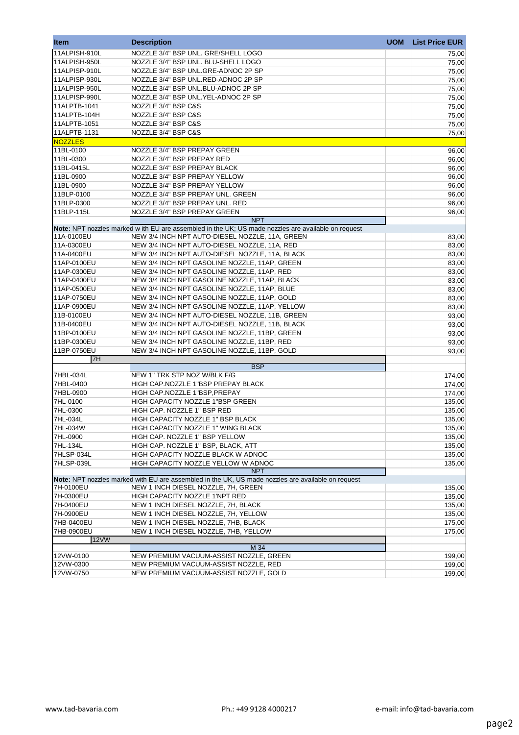| <b>Item</b>    | <b>Description</b>                                                                                                                        | <b>UOM</b> | <b>List Price EUR</b> |
|----------------|-------------------------------------------------------------------------------------------------------------------------------------------|------------|-----------------------|
| 11ALPISH-910L  | NOZZLE 3/4" BSP UNL. GRE/SHELL LOGO                                                                                                       |            | 75,00                 |
| 11ALPISH-950L  | NOZZLE 3/4" BSP UNL. BLU-SHELL LOGO                                                                                                       |            | 75,00                 |
| 11ALPISP-910L  | NOZZLE 3/4" BSP UNL.GRE-ADNOC 2P SP                                                                                                       |            | 75,00                 |
| 11ALPISP-930L  | NOZZLE 3/4" BSP UNL.RED-ADNOC 2P SP                                                                                                       |            | 75,00                 |
| 11ALPISP-950L  | NOZZLE 3/4" BSP UNL.BLU-ADNOC 2P SP                                                                                                       |            | 75,00                 |
| 11ALPISP-990L  | NOZZLE 3/4" BSP UNL.YEL-ADNOC 2P SP                                                                                                       |            | 75,00                 |
| 11ALPTB-1041   | NOZZLE 3/4" BSP C&S                                                                                                                       |            | 75,00                 |
| 11ALPTB-104H   | NOZZLE 3/4" BSP C&S                                                                                                                       |            | 75,00                 |
| 11ALPTB-1051   | NOZZLE 3/4" BSP C&S                                                                                                                       |            | 75,00                 |
| 11ALPTB-1131   | NOZZLE 3/4" BSP C&S                                                                                                                       |            | 75,00                 |
| <b>NOZZLES</b> |                                                                                                                                           |            |                       |
| 11BL-0100      | NOZZLE 3/4" BSP PREPAY GREEN                                                                                                              |            | 96,00                 |
| 11BL-0300      | NOZZLE 3/4" BSP PREPAY RED                                                                                                                |            | 96,00                 |
| 11BL-0415L     | NOZZLE 3/4" BSP PREPAY BLACK                                                                                                              |            | 96,00                 |
| 11BL-0900      | NOZZLE 3/4" BSP PREPAY YELLOW                                                                                                             |            | 96,00                 |
| 11BL-0900      | NOZZLE 3/4" BSP PREPAY YELLOW                                                                                                             |            | 96,00                 |
| 11BLP-0100     | NOZZLE 3/4" BSP PREPAY UNL. GREEN                                                                                                         |            | 96,00                 |
| 11BLP-0300     | NOZZLE 3/4" BSP PREPAY UNL. RED                                                                                                           |            | 96,00                 |
| 11BLP-115L     | NOZZLE 3/4" BSP PREPAY GREEN                                                                                                              |            | 96,00                 |
|                | <b>NPT</b>                                                                                                                                |            |                       |
|                | Note: NPT nozzles marked w ith EU are assembled in the UK; US made nozzles are available on request                                       |            |                       |
| 11A-0100EU     | NEW 3/4 INCH NPT AUTO-DIESEL NOZZLE, 11A, GREEN                                                                                           |            | 83,00                 |
| 11A-0300EU     | NEW 3/4 INCH NPT AUTO-DIESEL NOZZLE, 11A, RED                                                                                             |            | 83,00                 |
| 11A-0400EU     | NEW 3/4 INCH NPT AUTO-DIESEL NOZZLE, 11A, BLACK                                                                                           |            | 83,00                 |
| 11AP-0100EU    | NEW 3/4 INCH NPT GASOLINE NOZZLE, 11AP, GREEN                                                                                             |            | 83,00                 |
| 11AP-0300EU    | NEW 3/4 INCH NPT GASOLINE NOZZLE, 11AP, RED                                                                                               |            | 83,00                 |
| 11AP-0400EU    | NEW 3/4 INCH NPT GASOLINE NOZZLE, 11AP, BLACK                                                                                             |            | 83,00                 |
| 11AP-0500EU    | NEW 3/4 INCH NPT GASOLINE NOZZLE, 11AP, BLUE                                                                                              |            | 83,00                 |
| 11AP-0750EU    | NEW 3/4 INCH NPT GASOLINE NOZZLE, 11AP, GOLD                                                                                              |            | 83,00                 |
| 11AP-0900EU    | NEW 3/4 INCH NPT GASOLINE NOZZLE, 11AP, YELLOW                                                                                            |            | 83,00                 |
| 11B-0100EU     | NEW 3/4 INCH NPT AUTO-DIESEL NOZZLE, 11B, GREEN                                                                                           |            | 93,00                 |
| 11B-0400EU     | NEW 3/4 INCH NPT AUTO-DIESEL NOZZLE, 11B, BLACK                                                                                           |            | 93,00                 |
| 11BP-0100EU    | NEW 3/4 INCH NPT GASOLINE NOZZLE, 11BP, GREEN                                                                                             |            | 93,00                 |
| 11BP-0300EU    | NEW 3/4 INCH NPT GASOLINE NOZZLE, 11BP, RED                                                                                               |            | 93,00                 |
| 11BP-0750EU    | NEW 3/4 INCH NPT GASOLINE NOZZLE, 11BP, GOLD                                                                                              |            | 93,00                 |
| 7H             |                                                                                                                                           |            |                       |
|                | <b>BSP</b>                                                                                                                                |            |                       |
| 7HBL-034L      | NEW 1" TRK STP NOZ W/BLK F/G                                                                                                              |            | 174,00                |
| 7HBL-0400      | HIGH CAP.NOZZLE 1"BSP PREPAY BLACK                                                                                                        |            | 174,00                |
| 7HBL-0900      | HIGH CAP.NOZZLE 1"BSP, PREPAY                                                                                                             |            | 174,00                |
| 7HL-0100       | <b>HIGH CAPACITY NOZZLE 1"BSP GREEN</b>                                                                                                   |            | 135,00                |
| 7HL-0300       | HIGH CAP. NOZZLE 1" BSP RED                                                                                                               |            | 135,00                |
| 7HL-034L       | HIGH CAPACITY NOZZLE 1" BSP BLACK                                                                                                         |            | 135,00                |
| 7HL-034W       | HIGH CAPACITY NOZZLE 1" WING BLACK                                                                                                        |            | 135,00                |
| 7HL-0900       | HIGH CAP. NOZZLE 1" BSP YELLOW                                                                                                            |            | 135,00                |
| 7HL-134L       | HIGH CAP. NOZZLE 1" BSP, BLACK, ATT                                                                                                       |            | 135,00                |
| 7HLSP-034L     | HIGH CAPACITY NOZZLE BLACK W ADNOC                                                                                                        |            | 135,00                |
| 7HLSP-039L     | HIGH CAPACITY NOZZLE YELLOW W ADNOC                                                                                                       |            | 135,00                |
|                | <b>NPT</b>                                                                                                                                |            |                       |
| 7H-0100EU      | Note: NPT nozzles marked with EU are assembled in the UK, US made nozzles are available on request<br>NEW 1 INCH DIESEL NOZZLE, 7H, GREEN |            | 135,00                |
| 7H-0300EU      | HIGH CAPACITY NOZZLE 1'NPT RED                                                                                                            |            | 135,00                |
| 7H-0400EU      | NEW 1 INCH DIESEL NOZZLE, 7H, BLACK                                                                                                       |            | 135,00                |
| 7H-0900EU      | NEW 1 INCH DIESEL NOZZLE, 7H, YELLOW                                                                                                      |            | 135,00                |
| 7HB-0400EU     | NEW 1 INCH DIESEL NOZZLE, 7HB, BLACK                                                                                                      |            | 175,00                |
| 7HB-0900EU     | NEW 1 INCH DIESEL NOZZLE, 7HB, YELLOW                                                                                                     |            | 175,00                |
| 12VW           |                                                                                                                                           |            |                       |
|                | M 34                                                                                                                                      |            |                       |
| 12VW-0100      | NEW PREMIUM VACUUM-ASSIST NOZZLE, GREEN                                                                                                   |            | 199,00                |
| 12VW-0300      | NEW PREMIUM VACUUM-ASSIST NOZZLE, RED                                                                                                     |            | 199,00                |
| 12VW-0750      | NEW PREMIUM VACUUM-ASSIST NOZZLE, GOLD                                                                                                    |            | 199,00                |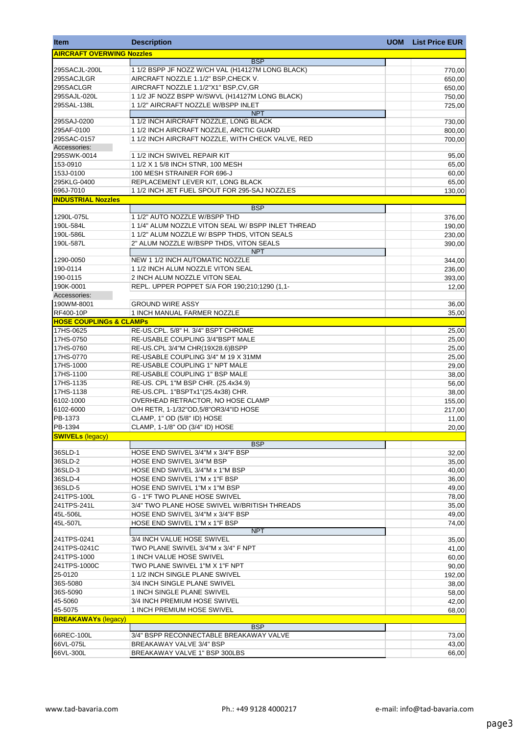| <b>Item</b>                        | <b>Description</b>                                                      | <b>UOM</b> | <b>List Price EUR</b> |
|------------------------------------|-------------------------------------------------------------------------|------------|-----------------------|
| <b>AIRCRAFT OVERWING Nozzles</b>   |                                                                         |            |                       |
|                                    | <b>BSP</b>                                                              |            |                       |
| 295SACJL-200L                      | 1 1/2 BSPP JF NOZZ W/CH VAL (H14127M LONG BLACK)                        |            | 770,00                |
| 295SACJLGR                         | AIRCRAFT NOZZLE 1.1/2" BSP, CHECK V.                                    |            | 650,00                |
| 295SACLGR                          | AIRCRAFT NOZZLE 1.1/2"X1" BSP,CV,GR                                     |            | 650,00                |
| 295SAJL-020L                       | 1 1/2 JF NOZZ BSPP W/SWVL (H14127M LONG BLACK)                          |            | 750,00                |
| 295SAL-138L                        | 11/2" AIRCRAFT NOZZLE W/BSPP INLET<br><b>NPT</b>                        |            | 725,00                |
| 295SAJ-0200                        | 1 1/2 INCH AIRCRAFT NOZZLE, LONG BLACK                                  |            | 730,00                |
| 295AF-0100                         | 1 1/2 INCH AIRCRAFT NOZZLE, ARCTIC GUARD                                |            | 800,00                |
| 295SAC-0157                        | 11/2 INCH AIRCRAFT NOZZLE, WITH CHECK VALVE, RED                        |            | 700,00                |
| Accessories:                       |                                                                         |            |                       |
| 295SWK-0014                        | 1 1/2 INCH SWIVEL REPAIR KIT                                            |            | 95,00                 |
| 153-0910                           | 1 1/2 X 1 5/8 INCH STNR, 100 MESH                                       |            | 65,00                 |
| 153J-0100                          | 100 MESH STRAINER FOR 696-J                                             |            | 60,00                 |
| 295KLG-0400                        | REPLACEMENT LEVER KIT, LONG BLACK                                       |            | 65,00                 |
| 696J-7010                          | 1 1/2 INCH JET FUEL SPOUT FOR 295-SAJ NOZZLES                           |            | 130,00                |
| <b>INDUSTRIAL Nozzles</b>          | <b>BSP</b>                                                              |            |                       |
| 1290L-075L                         | 1 1/2" AUTO NOZZLE W/BSPP THD                                           |            |                       |
| 190L-584L                          | 1 1/4" ALUM NOZZLE VITON SEAL W/ BSPP INLET THREAD                      |            | 376,00<br>190,00      |
| 190L-586L                          | 1 1/2" ALUM NOZZLE W/ BSPP THDS, VITON SEALS                            |            | 230,00                |
| 190L-587L                          | 2" ALUM NOZZLE W/BSPP THDS, VITON SEALS                                 |            | 390,00                |
|                                    | <b>NPT</b>                                                              |            |                       |
| 1290-0050                          | NEW 1 1/2 INCH AUTOMATIC NOZZLE                                         |            | 344,00                |
| 190-0114                           | 1 1/2 INCH ALUM NOZZLE VITON SEAL                                       |            | 236,00                |
| 190-0115                           | 2 INCH ALUM NOZZLE VITON SEAL                                           |            | 393,00                |
| 190K-0001                          | REPL. UPPER POPPET S/A FOR 190;210;1290 (1,1-                           |            | 12,00                 |
| Accessories:                       |                                                                         |            |                       |
| 190WM-8001                         | <b>GROUND WIRE ASSY</b>                                                 |            | 36,00                 |
| RF400-10P                          | 1 INCH MANUAL FARMER NOZZLE                                             |            | 35,00                 |
| <b>HOSE COUPLINGs &amp; CLAMPS</b> |                                                                         |            |                       |
| 17HS-0625                          | RE-US.CPL. 5/8" H. 3/4" BSPT CHROME                                     |            | 25,00                 |
| 17HS-0750                          | RE-USABLE COUPLING 3/4"BSPT MALE                                        |            | 25,00                 |
| 17HS-0760                          | RE-US.CPL 3/4"M CHR(19X28.6)BSPP<br>RE-USABLE COUPLING 3/4" M 19 X 31MM |            | 25,00                 |
| 17HS-0770<br>17HS-1000             | RE-USABLE COUPLING 1" NPT MALE                                          |            | 25,00<br>29,00        |
| 17HS-1100                          | <b>RE-USABLE COUPLING 1" BSP MALE</b>                                   |            | 38,00                 |
| 17HS-1135                          | RE-US. CPL 1"M BSP CHR. (25.4x34.9)                                     |            | 56,00                 |
| 17HS-1138                          | RE-US.CPL. 1"BSPTx1"(25.4x38) CHR.                                      |            | 38,00                 |
| 6102-1000                          | OVERHEAD RETRACTOR, NO HOSE CLAMP                                       |            | 155,00                |
| 6102-6000                          | O/H RETR, 1-1/32"OD, 5/8"OR3/4"ID HOSE                                  |            | 217,00                |
| PB-1373                            | CLAMP, 1" OD (5/8" ID) HOSE                                             |            | 11,00                 |
| PB-1394                            | CLAMP, 1-1/8" OD (3/4" ID) HOSE                                         |            | 20,00                 |
| <b>SWIVELs (legacy)</b>            |                                                                         |            |                       |
|                                    | <b>BSP</b>                                                              |            |                       |
| 36SLD-1                            | HOSE END SWIVEL 3/4"M x 3/4"F BSP                                       |            | 32,00                 |
| 36SLD-2                            | HOSE END SWIVEL 3/4"M BSP                                               |            | 35,00                 |
| 36SLD-3                            | HOSE END SWIVEL 3/4"M x 1"M BSP                                         |            | 40,00                 |
| 36SLD-4<br>36SLD-5                 | HOSE END SWIVEL 1"M x 1"F BSP<br>HOSE END SWIVEL 1"M x 1"M BSP          |            | 36,00                 |
| 241TPS-100L                        | <b>G - 1"F TWO PLANE HOSE SWIVEL</b>                                    |            | 49,00<br>78,00        |
| 241TPS-241L                        | 3/4" TWO PLANE HOSE SWIVEL W/BRITISH THREADS                            |            | 35,00                 |
| 45L-506L                           | HOSE END SWIVEL 3/4"M x 3/4"F BSP                                       |            | 49,00                 |
| 45L-507L                           | HOSE END SWIVEL 1"M x 1"F BSP                                           |            | 74,00                 |
|                                    | <b>NPT</b>                                                              |            |                       |
| 241TPS-0241                        | 3/4 INCH VALUE HOSE SWIVEL                                              |            | 35,00                 |
| 241TPS-0241C                       | TWO PLANE SWIVEL 3/4"M x 3/4" F NPT                                     |            | 41,00                 |
| 241TPS-1000                        | 1 INCH VALUE HOSE SWIVEL                                                |            | 60,00                 |
| 241TPS-1000C                       | TWO PLANE SWIVEL 1"M X 1"F NPT                                          |            | 90,00                 |
| 25-0120                            | 11/2 INCH SINGLE PLANE SWIVEL                                           |            | 192,00                |
| 36S-5080                           | 3/4 INCH SINGLE PLANE SWIVEL                                            |            | 38,00                 |
| 36S-5090                           | 1 INCH SINGLE PLANE SWIVEL                                              |            | 58,00                 |
| 45-5060                            | 3/4 INCH PREMIUM HOSE SWIVEL                                            |            | 42,00                 |
| 45-5075                            | 1 INCH PREMIUM HOSE SWIVEL                                              |            | 68,00                 |
| <b>BREAKAWAYs (legacy)</b>         | <b>BSP</b>                                                              |            |                       |
| 66REC-100L                         | 3/4" BSPP RECONNECTABLE BREAKAWAY VALVE                                 |            | 73,00                 |
| 66VL-075L                          | BREAKAWAY VALVE 3/4" BSP                                                |            | 43,00                 |
| 66VL-300L                          | BREAKAWAY VALVE 1" BSP 300LBS                                           |            | 66,00                 |
|                                    |                                                                         |            |                       |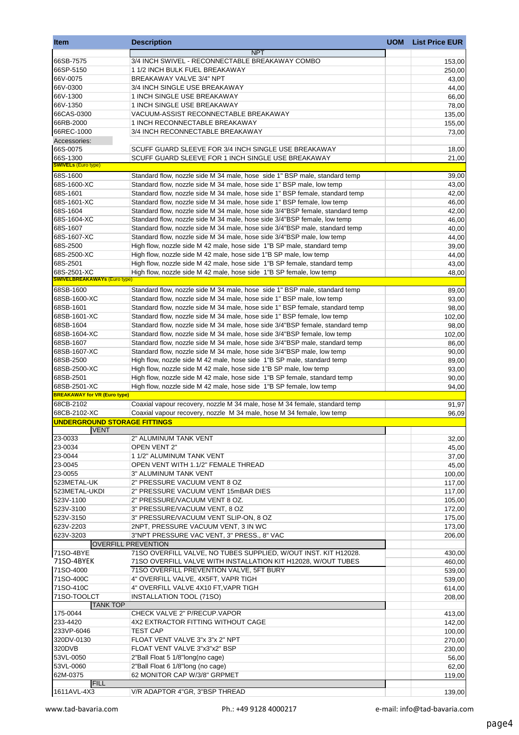| <b>Item</b>                                         | <b>Description</b>                                                            | <b>UOM</b> | <b>List Price EUR</b> |
|-----------------------------------------------------|-------------------------------------------------------------------------------|------------|-----------------------|
|                                                     | <b>NPT</b>                                                                    |            |                       |
| 66SB-7575                                           | 3/4 INCH SWIVEL - RECONNECTABLE BREAKAWAY COMBO                               |            | 153,00                |
| 66SP-5150                                           | 11/2 INCH BULK FUEL BREAKAWAY                                                 |            | 250,00                |
| 66V-0075                                            | BREAKAWAY VALVE 3/4" NPT                                                      |            | 43,00                 |
| 66V-0300                                            | 3/4 INCH SINGLE USE BREAKAWAY                                                 |            | 44,00                 |
| 66V-1300                                            | 1 INCH SINGLE USE BREAKAWAY                                                   |            | 66,00                 |
| 66V-1350                                            | 1 INCH SINGLE USE BREAKAWAY                                                   |            | 78,00                 |
| 66CAS-0300                                          | VACUUM-ASSIST RECONNECTABLE BREAKAWAY                                         |            | 135,00                |
| 66RB-2000                                           | 1 INCH RECONNECTABLE BREAKAWAY                                                |            | 155,00                |
| 66REC-1000                                          | 3/4 INCH RECONNECTABLE BREAKAWAY                                              |            | 73,00                 |
| Accessories:                                        |                                                                               |            |                       |
| 66S-0075                                            | SCUFF GUARD SLEEVE FOR 3/4 INCH SINGLE USE BREAKAWAY                          |            | 18,00                 |
| 66S-1300                                            | SCUFF GUARD SLEEVE FOR 1 INCH SINGLE USE BREAKAWAY                            |            | 21,00                 |
| <b>SWIVELs (Euro type)</b>                          |                                                                               |            |                       |
| 68S-1600                                            | Standard flow, nozzle side M 34 male, hose side 1" BSP male, standard temp    |            | 39,00                 |
| 68S-1600-XC                                         | Standard flow, nozzle side M 34 male, hose side 1" BSP male, low temp         |            | 43,00                 |
| 68S-1601                                            | Standard flow, nozzle side M 34 male, hose side 1" BSP female, standard temp  |            | 42,00                 |
| 68S-1601-XC                                         | Standard flow, nozzle side M 34 male, hose side 1" BSP female, low temp       |            | 46,00                 |
| 68S-1604                                            | Standard flow, nozzle side M 34 male, hose side 3/4"BSP female, standard temp |            | 42,00                 |
| 68S-1604-XC                                         | Standard flow, nozzle side M 34 male, hose side 3/4"BSP female, low temp      |            | 46,00                 |
| 68S-1607                                            | Standard flow, nozzle side M 34 male, hose side 3/4"BSP male, standard temp   |            | 40,00                 |
| 68S-1607-XC                                         | Standard flow, nozzle side M 34 male, hose side 3/4"BSP male, low temp        |            | 44,00                 |
| 68S-2500                                            | High flow, nozzle side M 42 male, hose side 1"B SP male, standard temp        |            | 39,00                 |
| 68S-2500-XC                                         | High flow, nozzle side M 42 male, hose side 1"B SP male, low temp             |            | 44,00                 |
| 68S-2501                                            | High flow, nozzle side M 42 male, hose side 1"B SP female, standard temp      |            | 43,00                 |
| 68S-2501-XC                                         | High flow, nozzle side M 42 male, hose side 1"B SP female, low temp           |            | 48,00                 |
| <b>SWIVELBREAKAWAYs (Euro type)</b>                 |                                                                               |            |                       |
| 68SB-1600                                           | Standard flow, nozzle side M 34 male, hose side 1" BSP male, standard temp    |            | 89,00                 |
| 68SB-1600-XC                                        | Standard flow, nozzle side M 34 male, hose side 1" BSP male, low temp         |            | 93,00                 |
| 68SB-1601                                           | Standard flow, nozzle side M 34 male, hose side 1" BSP female, standard temp  |            | 98,00                 |
| 68SB-1601-XC                                        | Standard flow, nozzle side M 34 male, hose side 1" BSP female, low temp       |            | 102,00                |
| 68SB-1604                                           | Standard flow, nozzle side M 34 male, hose side 3/4"BSP female, standard temp |            | 98,00                 |
| 68SB-1604-XC                                        | Standard flow, nozzle side M 34 male, hose side 3/4"BSP female, low temp      |            | 102,00                |
| 68SB-1607                                           | Standard flow, nozzle side M 34 male, hose side 3/4"BSP male, standard temp   |            | 86,00                 |
| 68SB-1607-XC                                        |                                                                               |            |                       |
|                                                     | Standard flow, nozzle side M 34 male, hose side 3/4"BSP male, low temp        |            | 90,00                 |
| 68SB-2500                                           | High flow, nozzle side M 42 male, hose side 1"B SP male, standard temp        |            | 89,00                 |
| 68SB-2500-XC                                        | High flow, nozzle side M 42 male, hose side 1"B SP male, low temp             |            | 93,00                 |
| 68SB-2501                                           | High flow, nozzle side M 42 male, hose side 1"B SP female, standard temp      |            | 90,00                 |
| 68SB-2501-XC<br><b>BREAKAWAY for VR (Euro type)</b> | High flow, nozzle side M 42 male, hose side 1"B SP female, low temp           |            | 94,00                 |
| 68CB-2102                                           |                                                                               |            |                       |
| 68CB-2102-XC                                        | Coaxial vapour recovery, nozzle M 34 male, hose M 34 female, standard temp    |            | 91,97                 |
| UNDERGROUND STORAGE FITTINGS                        | Coaxial vapour recovery, nozzle M 34 male, hose M 34 female, low temp         |            | 96,09                 |
| <b>VENT</b>                                         |                                                                               |            |                       |
| 23-0033                                             | 2" ALUMINUM TANK VENT                                                         |            | 32,00                 |
| 23-0034                                             | OPEN VENT 2"                                                                  |            | 45,00                 |
| 23-0044                                             | 1 1/2" ALUMINUM TANK VENT                                                     |            | 37,00                 |
| 23-0045                                             | OPEN VENT WITH 1.1/2" FEMALE THREAD                                           |            | 45,00                 |
| 23-0055                                             | 3" ALUMINUM TANK VENT                                                         |            | 100,00                |
| 523METAL-UK                                         | 2" PRESSURE VACUUM VENT 8 OZ                                                  |            |                       |
| 523METAL-UKDI                                       | 2" PRESSURE VACUUM VENT 15mBAR DIES                                           |            | 117,00                |
|                                                     |                                                                               |            | 117,00                |
| 523V-1100                                           | 2" PRESSURE/VACUUM VENT 8 OZ.<br>3" PRESSURE/VACUUM VENT, 8 OZ                |            | 105,00                |
| 523V-3100                                           |                                                                               |            | 172,00                |
| 523V-3150<br>623V-2203                              | 3" PRESSURE/VACUUM VENT SLIP-ON, 8 OZ                                         |            | 175,00                |
|                                                     | 2NPT, PRESSURE VACUUM VENT, 3 IN WC                                           |            | 173,00                |
| 623V-3203                                           | 3"NPT PRESSURE VAC VENT, 3" PRESS., 8" VAC                                    |            | 206,00                |
|                                                     | <b>OVERFILL PREVENTION</b>                                                    |            |                       |
| 71SO-4BYE                                           | 71SO OVERFILL VALVE, NO TUBES SUPPLIED, W/OUT INST. KIT H12028.               |            | 430,00                |
| 71SO-4BYEK                                          | 71SO OVERFILL VALVE WITH INSTALLATION KIT H12028, W/OUT TUBES                 |            | 460,00                |
| 71SO-4000                                           | 71SO OVERFILL PREVENTION VALVE, 5FT BURY                                      |            | 539,00                |
| 71SO-400C                                           | 4" OVERFILL VALVE, 4X5FT, VAPR TIGH                                           |            | 539,00                |
| 71SO-410C                                           | 4" OVERFILL VALVE 4X10 FT, VAPR TIGH                                          |            | 614,00                |
| 71SO-TOOLCT                                         | INSTALLATION TOOL (71SO)                                                      |            | 208,00                |
| <b>TANK TOP</b>                                     |                                                                               |            |                       |
| 175-0044                                            | CHECK VALVE 2" P/RECUP.VAPOR                                                  |            | 413,00                |
| 233-4420                                            | 4X2 EXTRACTOR FITTING WITHOUT CAGE                                            |            | 142,00                |
| 233VP-6046                                          | <b>TEST CAP</b>                                                               |            | 100,00                |
| 320DV-0130                                          | FLOAT VENT VALVE 3"x 3"x 2" NPT                                               |            | 270,00                |
| 320DVB                                              | FLOAT VENT VALVE 3"x3"x2" BSP                                                 |            | 230,00                |
| 53VL-0050                                           | 2"Ball Float 5 1/8"long(no cage)                                              |            | 56,00                 |
| 53VL-0060                                           | 2"Ball Float 6 1/8"long (no cage)                                             |            | 62,00                 |
| 62M-0375                                            | 62 MONITOR CAP W/3/8" GRPMET                                                  |            | 119,00                |
| <b>FILL</b>                                         |                                                                               |            |                       |
| 1611AVL-4X3                                         | V/R ADAPTOR 4"GR, 3"BSP THREAD                                                |            | 139,00                |